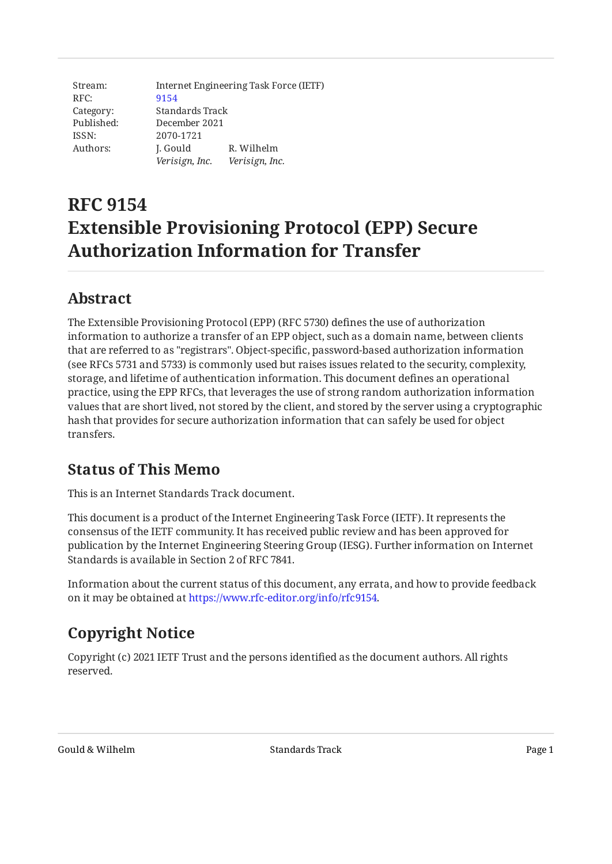Stream: RFC: Category: Published: ISSN: Authors: Internet Engineering Task Force (IETF) [9154](https://www.rfc-editor.org/rfc/rfc9154) Standards Track December 2021 2070-1721 J. Gould *Verisign, Inc. Verisign, Inc.* R. Wilhelm

# **RFC 9154 Extensible Provisioning Protocol (EPP) Secure Authorization Information for Transfer**

## <span id="page-0-0"></span>**[Abstract](#page-0-0)**

The Extensible Provisioning Protocol (EPP) (RFC 5730) defines the use of authorization information to authorize a transfer of an EPP object, such as a domain name, between clients that are referred to as "registrars". Object-specific, password-based authorization information (see RFCs 5731 and 5733) is commonly used but raises issues related to the security, complexity, storage, and lifetime of authentication information. This document defines an operational practice, using the EPP RFCs, that leverages the use of strong random authorization information values that are short lived, not stored by the client, and stored by the server using a cryptographic hash that provides for secure authorization information that can safely be used for object transfers.

### <span id="page-0-1"></span>**[Status of This Memo](#page-0-1)**

This is an Internet Standards Track document.

This document is a product of the Internet Engineering Task Force (IETF). It represents the consensus of the IETF community. It has received public review and has been approved for publication by the Internet Engineering Steering Group (IESG). Further information on Internet Standards is available in Section 2 of RFC 7841.

Information about the current status of this document, any errata, and how to provide feedback on it may be obtained at [https://www.rfc-editor.org/info/rfc9154.](https://www.rfc-editor.org/info/rfc9154)

# <span id="page-0-2"></span>**[Copyright Notice](#page-0-2)**

Copyright (c) 2021 IETF Trust and the persons identified as the document authors. All rights reserved.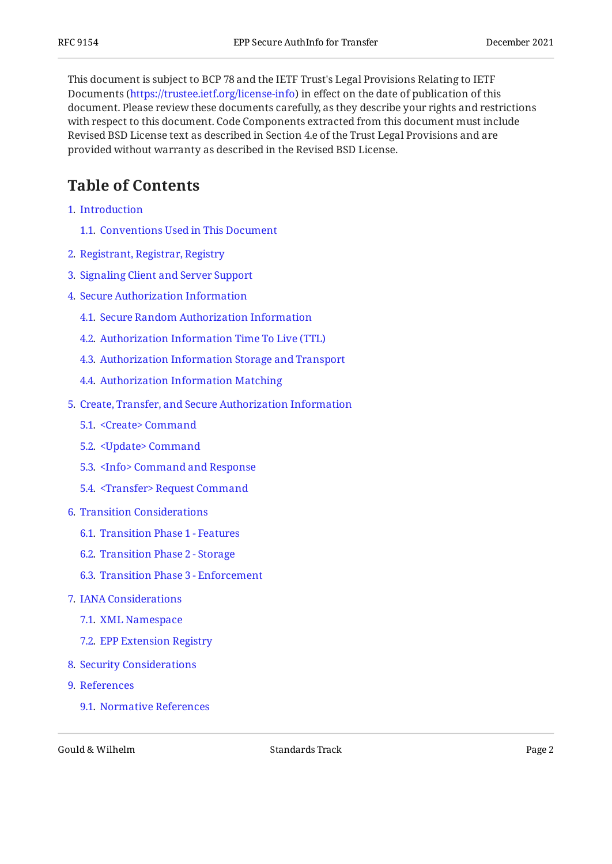This document is subject to BCP 78 and the IETF Trust's Legal Provisions Relating to IETF Documents (<https://trustee.ietf.org/license-info>) in effect on the date of publication of this document. Please review these documents carefully, as they describe your rights and restrictions with respect to this document. Code Components extracted from this document must include Revised BSD License text as described in Section 4.e of the Trust Legal Provisions and are provided without warranty as described in the Revised BSD License.

## <span id="page-1-0"></span>**[Table of Contents](#page-1-0)**

- [1](#page-2-0). [Introduction](#page-2-0)
	- [1.1.](#page-3-0) [Conventions Used in This Document](#page-3-0)
- [2](#page-4-0). [Registrant, Registrar, Registry](#page-4-0)
- [3](#page-5-0). [Signaling Client and Server Support](#page-5-0)
- [4](#page-5-1). [Secure Authorization Information](#page-5-1)
	- [4.1.](#page-6-0) [Secure Random Authorization Information](#page-6-0)
	- [4.2.](#page-6-1) [Authorization Information Time To Live \(TTL\)](#page-6-1)
	- [4.3.](#page-7-0) [Authorization Information Storage and Transport](#page-7-0)
	- [4.4.](#page-7-1) [Authorization Information Matching](#page-7-1)
- [5](#page-8-0). [Create, Transfer, and Secure Authorization Information](#page-8-0)
	- [5.1.](#page-8-1) [<Create> Command](#page-8-1)
	- [5.2.](#page-9-0) [<Update> Command](#page-9-0)
	- [5.3.](#page-12-0) [<Info> Command and Response](#page-12-0)
	- [5.4.](#page-14-0) [<Transfer> Request Command](#page-14-0)
- [6](#page-15-0). [Transition Considerations](#page-15-0)
	- [6.1.](#page-16-0) [Transition Phase 1 Features](#page-16-0)
	- [6.2.](#page-17-0) [Transition Phase 2 Storage](#page-17-0)
	- [6.3.](#page-17-1) [Transition Phase 3 Enforcement](#page-17-1)
- [7](#page-18-0). [IANA Considerations](#page-18-0)
	- [7.1.](#page-18-1) [XML Namespace](#page-18-1)
	- [7.2.](#page-18-2) [EPP Extension Registry](#page-18-2)
- [8](#page-18-3). [Security Considerations](#page-18-3)
- [9](#page-19-0). [References](#page-19-0)
	- [9.1.](#page-19-1) [Normative References](#page-19-1)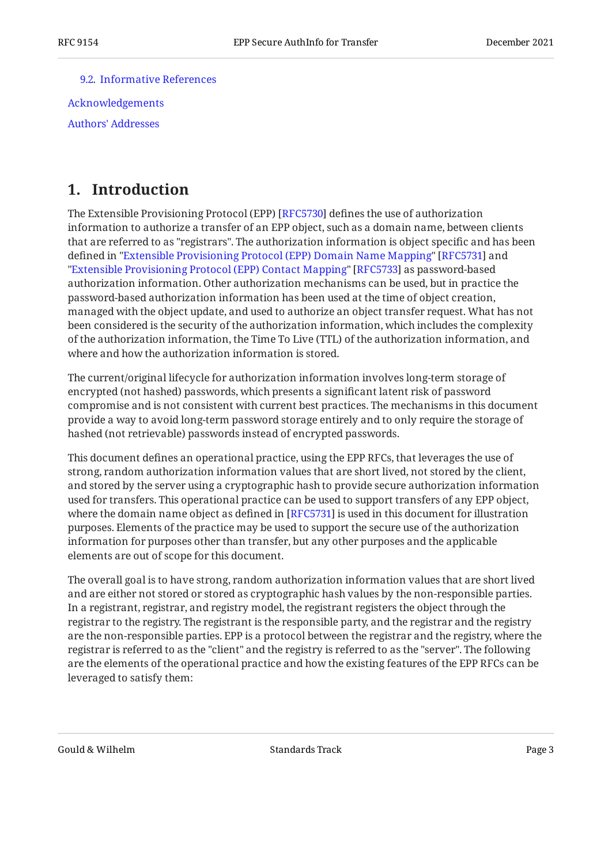[9.2.](#page-20-0) [Informative References](#page-20-0)

[Acknowledgements](#page-20-1) [Authors' Addresses](#page-20-2)

### <span id="page-2-0"></span>**[1. Introduction](#page-2-0)**

The Extensible Provisioning Protocol (EPP) [RFC5730] defines the use of authorization information to authorize a transfer of an EPP object, such as a domain name, between clients that are referred to as "registrars". The authorization information is object specific and has been defined in ["Extensible Provisioning Protocol \(EPP\) Domain Name Mapping"](#page-19-3) [RFC5731] and "[Extensible Provisioning Protocol \(EPP\) Contact Mapping"](#page-19-4) [RFC5733] as password-based authorization information. Other authorization mechanisms can be used, but in practice the password-based authorization information has been used at the time of object creation, managed with the object update, and used to authorize an object transfer request. What has not been considered is the security of the authorization information, which includes the complexity of the authorization information, the Time To Live (TTL) of the authorization information, and where and how the authorization information is stored.

The current/original lifecycle for authorization information involves long-term storage of encrypted (not hashed) passwords, which presents a significant latent risk of password compromise and is not consistent with current best practices. The mechanisms in this document provide a way to avoid long-term password storage entirely and to only require the storage of hashed (not retrievable) passwords instead of encrypted passwords.

This document defines an operational practice, using the EPP RFCs, that leverages the use of strong, random authorization information values that are short lived, not stored by the client, and stored by the server using a cryptographic hash to provide secure authorization information used for transfers. This operational practice can be used to support transfers of any EPP object, where the domain name object as defined in [[RFC5731\]](#page-19-3) is used in this document for illustration purposes. Elements of the practice may be used to support the secure use of the authorization information for purposes other than transfer, but any other purposes and the applicable elements are out of scope for this document.

The overall goal is to have strong, random authorization information values that are short lived and are either not stored or stored as cryptographic hash values by the non-responsible parties. In a registrant, registrar, and registry model, the registrant registers the object through the registrar to the registry. The registrant is the responsible party, and the registrar and the registry are the non-responsible parties. EPP is a protocol between the registrar and the registry, where the registrar is referred to as the "client" and the registry is referred to as the "server". The following are the elements of the operational practice and how the existing features of the EPP RFCs can be leveraged to satisfy them: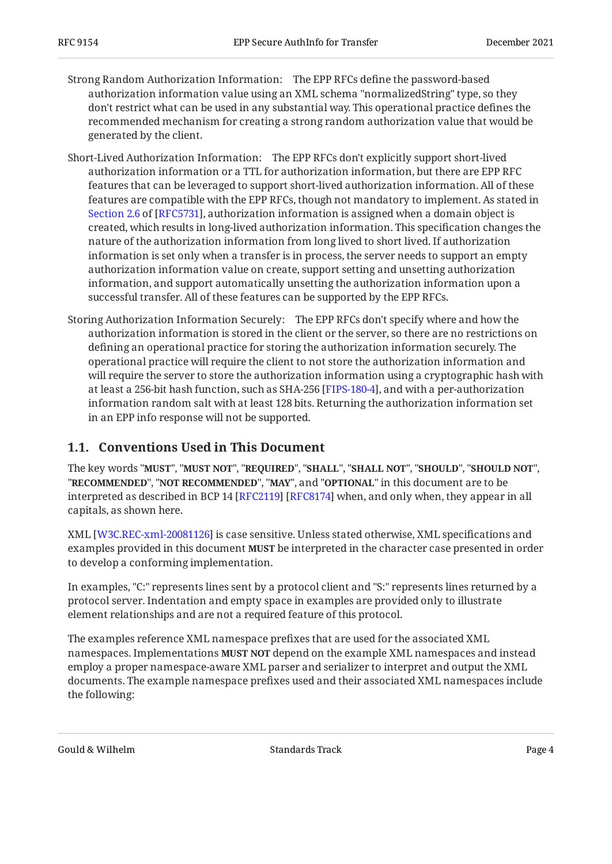- Strong Random Authorization Information: The EPP RFCs define the password-based authorization information value using an XML schema "normalizedString" type, so they don't restrict what can be used in any substantial way. This operational practice defines the recommended mechanism for creating a strong random authorization value that would be generated by the client.
- Short-Lived Authorization Information: The EPP RFCs don't explicitly support short-lived authorization information or a TTL for authorization information, but there are EPP RFC features that can be leveraged to support short-lived authorization information. All of these features are compatible with the EPP RFCs, though not mandatory to implement. As stated in [Section 2.6](https://www.rfc-editor.org/rfc/rfc5731#section-2.6) of [\[RFC5731\]](#page-19-3), authorization information is assigned when a domain object is created, which results in long-lived authorization information. This specification changes the nature of the authorization information from long lived to short lived. If authorization information is set only when a transfer is in process, the server needs to support an empty authorization information value on create, support setting and unsetting authorization information, and support automatically unsetting the authorization information upon a successful transfer. All of these features can be supported by the EPP RFCs.
- Storing Authorization Information Securely: The EPP RFCs don't specify where and how the authorization information is stored in the client or the server, so there are no restrictions on defining an operational practice for storing the authorization information securely. The operational practice will require the client to not store the authorization information and will require the server to store the authorization information using a cryptographic hash with at least a 256-bit hash function, such as SHA-256 [FIPS-180-4], and with a per-authorization information random salt with at least 128 bits. Returning the authorization information set in an EPP info response will not be supported.

#### <span id="page-3-0"></span>**[1.1. Conventions Used in This Document](#page-3-0)**

The key words "MUST", "MUST NOT", "REQUIRED", "SHALL", "SHALL NOT", "SHOULD", "SHOULD NOT", "**RECOMMENDED", "NOT RECOMMENDED", "MAY",** and "OPTIONAL" in this document are to be interpreted as described in BCP 14 [RFC2119] [RFC8174] when, and only when, they appear in all capitals, as shown here.

 $\text{XML}$  [W3C.REC-xml-20081126] is case sensitive. Unless stated otherwise, XML specifications and examples provided in this document **MUST** be interpreted in the character case presented in order to develop a conforming implementation.

In examples, "C:" represents lines sent by a protocol client and "S:" represents lines returned by a protocol server. Indentation and empty space in examples are provided only to illustrate element relationships and are not a required feature of this protocol.

The examples reference XML namespace prefixes that are used for the associated XML namespaces. Implementations **MUST NOT** depend on the example XML namespaces and instead employ a proper namespace-aware XML parser and serializer to interpret and output the XML documents. The example namespace prefixes used and their associated XML namespaces include the following: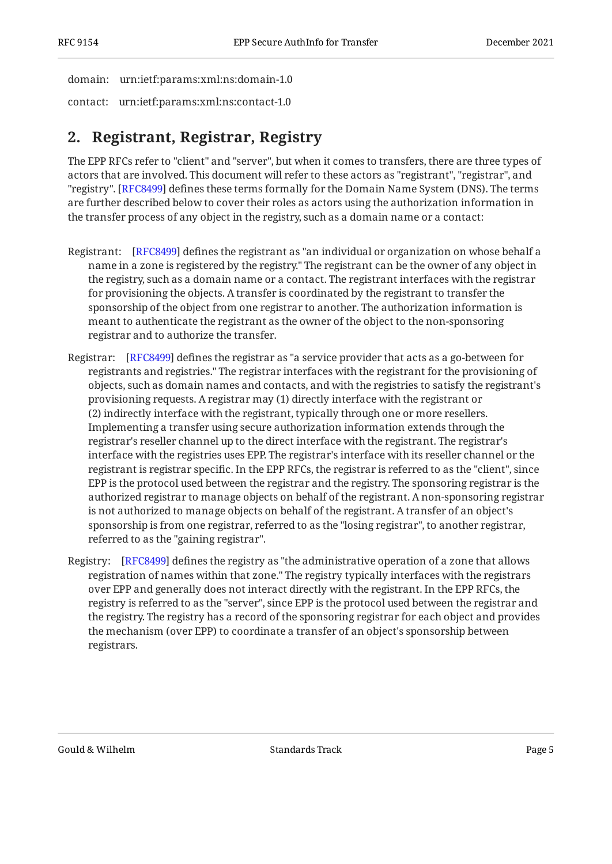domain: urn:ietf:params:xml:ns:domain-1.0

<span id="page-4-0"></span>contact: urn:ietf:params:xml:ns:contact-1.0

# **[2. Registrant, Registrar, Registry](#page-4-0)**

The EPP RFCs refer to "client" and "server", but when it comes to transfers, there are three types of actors that are involved. This document will refer to these actors as "registrant", "registrar", and "registry". [\[RFC8499](#page-20-6)] defines these terms formally for the Domain Name System (DNS). The terms are further described below to cover their roles as actors using the authorization information in the transfer process of any object in the registry, such as a domain name or a contact:

- Registrant: [\[RFC8499\]](#page-20-6) defines the registrant as "an individual or organization on whose behalf a name in a zone is registered by the registry." The registrant can be the owner of any object in the registry, such as a domain name or a contact. The registrant interfaces with the registrar for provisioning the objects. A transfer is coordinated by the registrant to transfer the sponsorship of the object from one registrar to another. The authorization information is meant to authenticate the registrant as the owner of the object to the non-sponsoring registrar and to authorize the transfer.
- Registrar: [\[RFC8499\]](#page-20-6) defines the registrar as "a service provider that acts as a go-between for registrants and registries." The registrar interfaces with the registrant for the provisioning of objects, such as domain names and contacts, and with the registries to satisfy the registrant's provisioning requests. A registrar may (1) directly interface with the registrant or (2) indirectly interface with the registrant, typically through one or more resellers. Implementing a transfer using secure authorization information extends through the registrar's reseller channel up to the direct interface with the registrant. The registrar's interface with the registries uses EPP. The registrar's interface with its reseller channel or the registrant is registrar specific. In the EPP RFCs, the registrar is referred to as the "client", since EPP is the protocol used between the registrar and the registry. The sponsoring registrar is the authorized registrar to manage objects on behalf of the registrant. A non-sponsoring registrar is not authorized to manage objects on behalf of the registrant. A transfer of an object's sponsorship is from one registrar, referred to as the "losing registrar", to another registrar, referred to as the "gaining registrar".
- Registry: [[RFC8499\]](#page-20-6) defines the registry as "the administrative operation of a zone that allows registration of names within that zone." The registry typically interfaces with the registrars over EPP and generally does not interact directly with the registrant. In the EPP RFCs, the registry is referred to as the "server", since EPP is the protocol used between the registrar and the registry. The registry has a record of the sponsoring registrar for each object and provides the mechanism (over EPP) to coordinate a transfer of an object's sponsorship between registrars.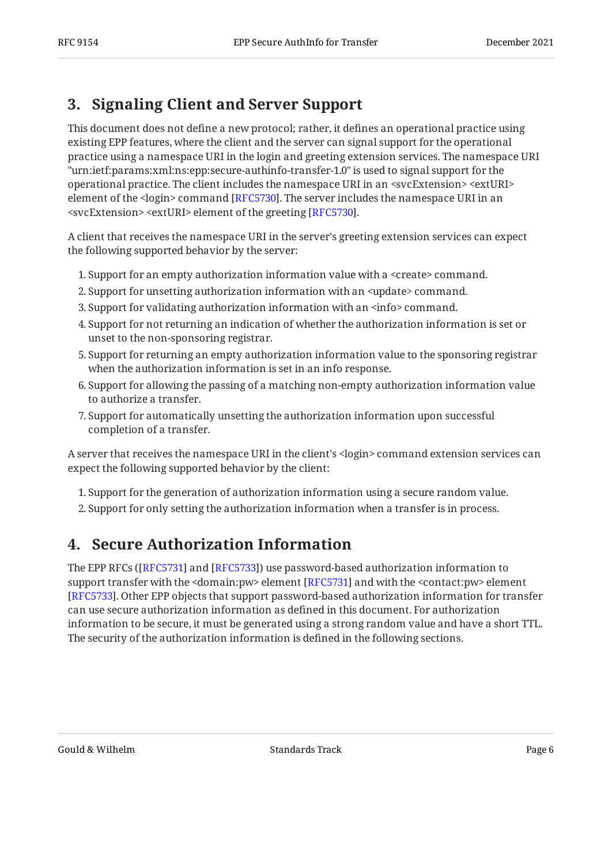# <span id="page-5-0"></span>**[3. Signaling Client and Server Support](#page-5-0)**

This document does not define a new protocol; rather, it defines an operational practice using existing EPP features, where the client and the server can signal support for the operational practice using a namespace URI in the login and greeting extension services. The namespace URI "urn:ietf:params:xml:ns:epp:secure-authinfo-transfer-1.0" is used to signal support for the operational practice. The client includes the namespace URI in an <svcExtension> <extURI> element of the <login> command [[RFC5730\]](#page-19-2). The server includes the namespace URI in an  $<$ svcExtension> $<$ extURI> element of the greeting [RFC5730].

A client that receives the namespace URI in the server's greeting extension services can expect the following supported behavior by the server:

- 1. Support for an empty authorization information value with a <create> command.
- Support for unsetting authorization information with an <update> command. 2.
- 3. Support for validating authorization information with an  $\leq$ info> command.
- 4. Support for not returning an indication of whether the authorization information is set or unset to the non-sponsoring registrar.
- 5. Support for returning an empty authorization information value to the sponsoring registrar when the authorization information is set in an info response.
- 6. Support for allowing the passing of a matching non-empty authorization information value to authorize a transfer.
- 7. Support for automatically unsetting the authorization information upon successful completion of a transfer.

A server that receives the namespace URI in the client's <login> command extension services can expect the following supported behavior by the client:

- 1. Support for the generation of authorization information using a secure random value.
- <span id="page-5-1"></span>2. Support for only setting the authorization information when a transfer is in process.

# **[4. Secure Authorization Information](#page-5-1)**

The EPP RFCs ([RFC5731] and [RFC5733]) use password-based authorization information to support transfer with the <domain:pw> element [\[RFC5731\]](#page-19-3) and with the <contact:pw> element [[RFC5733\]](#page-19-4). Other EPP objects that support password-based authorization information for transfer can use secure authorization information as defined in this document. For authorization information to be secure, it must be generated using a strong random value and have a short TTL. The security of the authorization information is defined in the following sections.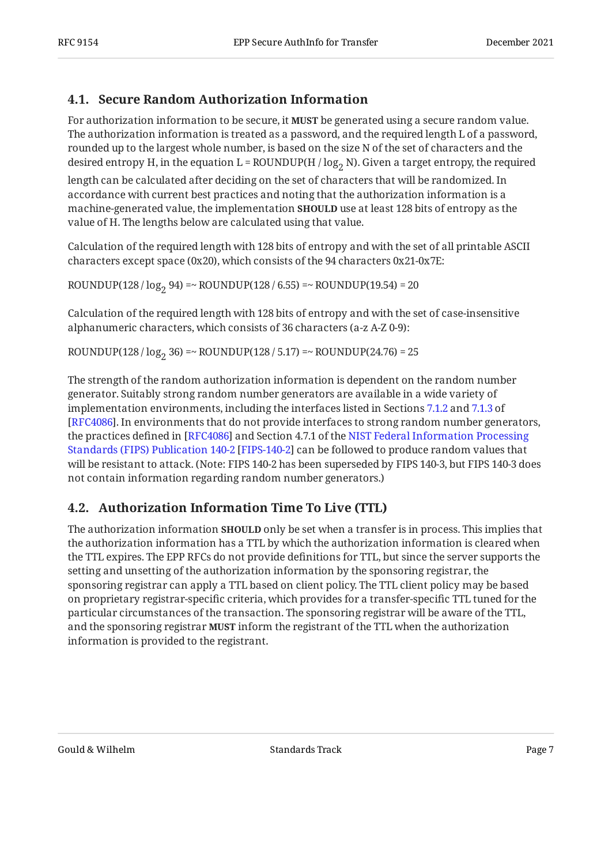### <span id="page-6-0"></span>**[4.1. Secure Random Authorization Information](#page-6-0)**

For authorization information to be secure, it **MUST** be generated using a secure random value. The authorization information is treated as a password, and the required length L of a password, rounded up to the largest whole number, is based on the size N of the set of characters and the desired entropy H, in the equation L = ROUNDUP(H /  $log_2$  N). Given a target entropy, the required

length can be calculated after deciding on the set of characters that will be randomized. In accordance with current best practices and noting that the authorization information is a machine-generated value, the implementation **SHOULD** use at least 128 bits of entropy as the value of H. The lengths below are calculated using that value.

Calculation of the required length with 128 bits of entropy and with the set of all printable ASCII characters except space (0x20), which consists of the 94 characters 0x21-0x7E:

ROUNDUP(128 /  $log_2 94$ ) =~ ROUNDUP(128 / 6.55) =~ ROUNDUP(19.54) = 20

Calculation of the required length with 128 bits of entropy and with the set of case-insensitive alphanumeric characters, which consists of 36 characters (a-z A-Z 0-9):

ROUNDUP(128 /  $log_2 36$ ) =~ ROUNDUP(128 / 5.17) =~ ROUNDUP(24.76) = 25

The strength of the random authorization information is dependent on the random number generator. Suitably strong random number generators are available in a wide variety of implementation environments, including the interfaces listed in Sections [7.1.2](https://www.rfc-editor.org/rfc/rfc4086#section-7.1.2) and [7.1.3](https://www.rfc-editor.org/rfc/rfc4086#section-7.1.3) of [[RFC4086\]](#page-19-6). In environments that do not provide interfaces to strong random number generators, the practices defined in [RFC4086] and Section 4.7.1 of the [NIST Federal Information Processing](#page-20-7) [Standards \(FIPS\) Publication 140-2](#page-20-7) [[FIPS-140-2\]](#page-20-7) can be followed to produce random values that will be resistant to attack. (Note: FIPS 140-2 has been superseded by FIPS 140-3, but FIPS 140-3 does not contain information regarding random number generators.)

### <span id="page-6-1"></span>**[4.2. Authorization Information Time To Live \(TTL\)](#page-6-1)**

The authorization information **SHOULD** only be set when a transfer is in process. This implies that the authorization information has a TTL by which the authorization information is cleared when the TTL expires. The EPP RFCs do not provide definitions for TTL, but since the server supports the setting and unsetting of the authorization information by the sponsoring registrar, the sponsoring registrar can apply a TTL based on client policy. The TTL client policy may be based on proprietary registrar-specific criteria, which provides for a transfer-specific TTL tuned for the particular circumstances of the transaction. The sponsoring registrar will be aware of the TTL, and the sponsoring registrar **MUST** inform the registrant of the TTL when the authorization information is provided to the registrant.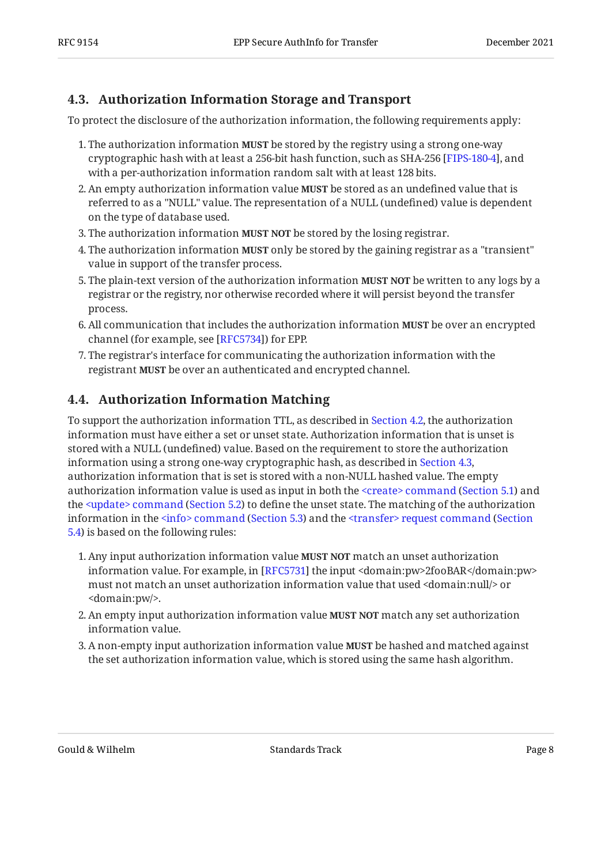#### <span id="page-7-0"></span>**[4.3. Authorization Information Storage and Transport](#page-7-0)**

To protect the disclosure of the authorization information, the following requirements apply:

- 1. The authorization information **MUST** be stored by the registry using a strong one-way cryptographic hash with at least a 256-bit hash function, such as SHA-256 [FIPS-180-4], and with a per-authorization information random salt with at least 128 bits.
- 2. An empty authorization information value **MUST** be stored as an undefined value that is referred to as a "NULL" value. The representation of a NULL (undefined) value is dependent on the type of database used.
- 3. The authorization information **MUST NOT** be stored by the losing registrar.
- 4. The authorization information **MUST** only be stored by the gaining registrar as a "transient" value in support of the transfer process.
- 5. The plain-text version of the authorization information **MUST NOT** be written to any logs by a registrar or the registry, nor otherwise recorded where it will persist beyond the transfer process.
- 6. All communication that includes the authorization information **MUST** be over an encrypted channel (for example, see [RFC5734]) for EPP.
- 7. The registrar's interface for communicating the authorization information with the registrant **MUST** be over an authenticated and encrypted channel.

### <span id="page-7-1"></span>**[4.4. Authorization Information Matching](#page-7-1)**

To support the authorization information TTL, as described in [Section 4.2](#page-6-1), the authorization information must have either a set or unset state. Authorization information that is unset is stored with a NULL (undefined) value. Based on the requirement to store the authorization information using a strong one-way cryptographic hash, as described in [Section 4.3,](#page-7-0) authorization information that is set is stored with a non-NULL hashed value. The empty authorizationinformation value is used as input in both the <create> command (Section 5.1) and the<update> command (Section 5.2) to define the unset state. The matching of the authorization informationin the <info> command (Section 5.3) and the [<transfer> request command](#page-14-0) ([Section](#page-14-0) [5.4\)](#page-14-0) is based on the following rules:

- 1. Any input authorization information value **MUST NOT** match an unset authorization information value. For example, in [RFC5731] the input <domain:pw>2fooBAR</domain:pw> must not match an unset authorization information value that used <domain:null/> or <domain:pw/>.
- 2. An empty input authorization information value **MUST NOT** match any set authorization information value.
- 3. A non-empty input authorization information value **MUST** be hashed and matched against the set authorization information value, which is stored using the same hash algorithm.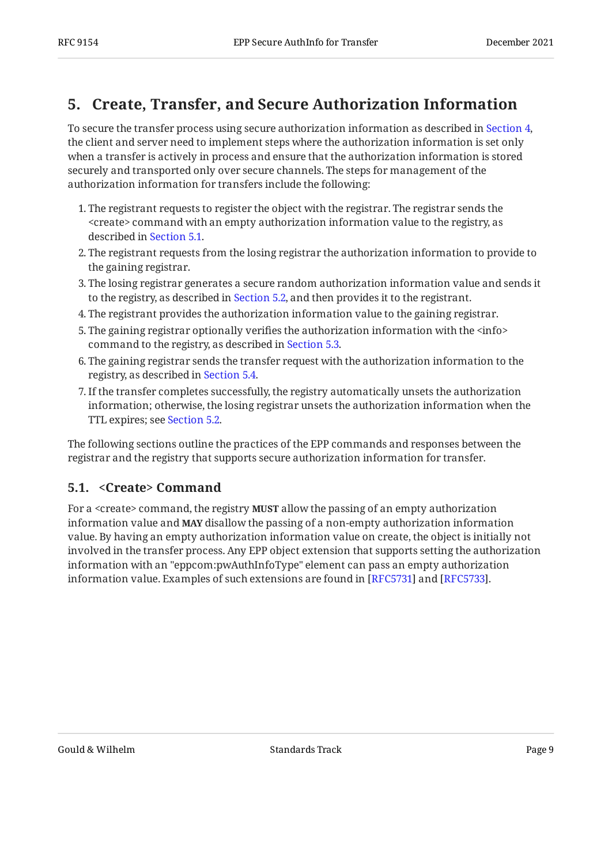### <span id="page-8-0"></span>**[5. Create, Transfer, and Secure Authorization Information](#page-8-0)**

To secure the transfer process using secure authorization information as described in [Section 4,](#page-5-1) the client and server need to implement steps where the authorization information is set only when a transfer is actively in process and ensure that the authorization information is stored securely and transported only over secure channels. The steps for management of the authorization information for transfers include the following:

- 1. The registrant requests to register the object with the registrar. The registrar sends the <create> command with an empty authorization information value to the registry, as described in [Section 5.1](#page-8-1).
- The registrant requests from the losing registrar the authorization information to provide to 2. the gaining registrar.
- The losing registrar generates a secure random authorization information value and sends it 3. to the registry, as described in [Section 5.2,](#page-9-0) and then provides it to the registrant.
- The registrant provides the authorization information value to the gaining registrar. 4.
- 5. The gaining registrar optionally verifies the authorization information with the  $\rm {sinfo{>}}$ command to the registry, as described in [Section 5.3](#page-12-0).
- 6. The gaining registrar sends the transfer request with the authorization information to the registry, as described in [Section 5.4](#page-14-0).
- If the transfer completes successfully, the registry automatically unsets the authorization 7. information; otherwise, the losing registrar unsets the authorization information when the TTL expires; see [Section 5.2](#page-9-0).

The following sections outline the practices of the EPP commands and responses between the registrar and the registry that supports secure authorization information for transfer.

#### <span id="page-8-1"></span>**[5.1. <Create> Command](#page-8-1)**

For a <create> command, the registry **MUST** allow the passing of an empty authorization information value and **MAY** disallow the passing of a non-empty authorization information value. By having an empty authorization information value on create, the object is initially not involved in the transfer process. Any EPP object extension that supports setting the authorization information with an "eppcom:pwAuthInfoType" element can pass an empty authorization information value. Examples of such extensions are found in [RFC5731] and [RFC5733].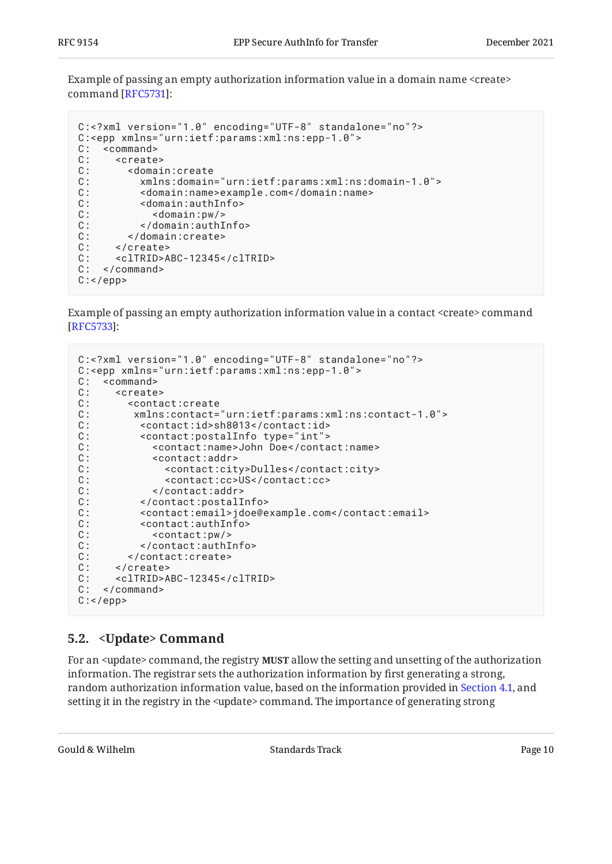Example of passing an empty authorization information value in a domain name <create> command [RFC5731]:

```
C:<?xml version="1.0" encoding="UTF-8" standalone="no"?>
C:<epp xmlns="urn:ietf:params:xml:ns:epp-1.0">
C: <command><br>C: <create
C: <create><br>C: <domai
       C: <domain:create
C: xmlns:domain="urn:ietf:params:xml:ns:domain-1.0">
C: <domain:name>example.com</domain:name>
C: <domain:authInfo><br>C: <domain:pw/>
C: <domain:pw/>
         C: </domain:authInfo>
C: </domain:create>
C: </create>
C: <clTRID>ABC-12345</clTRID>
C: </command>
C:</epp>
```
Example of passing an empty authorization information value in a contact <create> command : [[RFC5733\]](#page-19-4)

```
C:<?xml version="1.0" encoding="UTF-8" standalone="no"?>
C:<epp xmlns="urn:ietf:params:xml:ns:epp-1.0">
C: < command>
C: <create><br>C: <conta
C: <contact:create<br>C: xmlns:contact=
       C: xmlns:contact="urn:ietf:params:xml:ns:contact-1.0">
C: <contact:id>sh8013</contact:id>
C: <contact:postalInfo type="int"><br>C: <contact:name>John Doe</conta
C: <contact:name>John Doe</contact:name><br>C: <contact:addr>
          <contact:addr>
C: <contact:city>Dulles</contact:city>
C: <contact:cc>US</contact:cc>
C: </contact:addr>
C: </contact:postalInfo>
C: <contact:email>jdoe@example.com</contact:email>
C: <contact:authInfo>
C: <contact:pw/>
C: </contact:authInfo>
C: </contact:create>
C: </create>
C: <clTRID>ABC-12345</clTRID>
C: </command>
C: </epp>
```
#### <span id="page-9-0"></span>**[5.2. <Update> Command](#page-9-0)**

For an <update> command, the registry **MUST** allow the setting and unsetting of the authorization information. The registrar sets the authorization information by first generating a strong, random authorization information value, based on the information provided in [Section 4.1](#page-6-0), and setting it in the registry in the <update> command. The importance of generating strong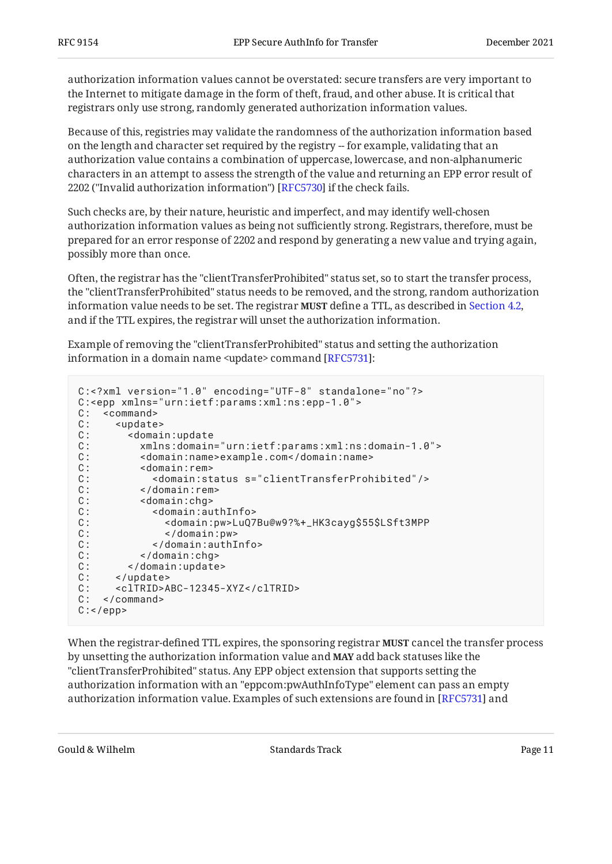authorization information values cannot be overstated: secure transfers are very important to the Internet to mitigate damage in the form of theft, fraud, and other abuse. It is critical that registrars only use strong, randomly generated authorization information values.

Because of this, registries may validate the randomness of the authorization information based on the length and character set required by the registry -- for example, validating that an authorization value contains a combination of uppercase, lowercase, and non-alphanumeric characters in an attempt to assess the strength of the value and returning an EPP error result of 2202 ("Invalid authorization information") [[RFC5730\]](#page-19-2) if the check fails.

Such checks are, by their nature, heuristic and imperfect, and may identify well-chosen authorization information values as being not sufficiently strong. Registrars, therefore, must be prepared for an error response of 2202 and respond by generating a new value and trying again, possibly more than once.

Often, the registrar has the "clientTransferProhibited" status set, so to start the transfer process, the "clientTransferProhibited" status needs to be removed, and the strong, random authorization information value needs to be set. The registrar **MUST** define a TTL, as described in Section 4.2**,** and if the TTL expires, the registrar will unset the authorization information.

Example of removing the "clientTransferProhibited" status and setting the authorization information in a domain name <update> command [RFC5731]:

```
C:<?xml version="1.0" encoding="UTF-8" standalone="no"?>
C:<epp xmlns="urn:ietf:params:xml:ns:epp-1.0">
C: < command>
C: <update>
C: <domain:update
C: xmlns:domain="urn:ietf:params:xml:ns:domain-1.0">
C: <domain:name>example.com</domain:name>
C: <domain:rem><br>C: <domain:st
C: <domain:status s="clientTransferProhibited"/> C: </domain:rem>
C: </domain:rem>
C: <domain:chg>
C:<br>
C: <domain:authInfo><br>
C: <domain:pw>LuQ7
              C: <domain:pw>LuQ7Bu@w9?%+_HK3cayg$55$LSft3MPP
C: \langle /domain:pw>
C: </domain:authInfo>
C: </domain:chg>
C: </domain:update><br>C: </update>
     </update>
C: <clTRID>ABC-12345-XYZ</clTRID>
C: </command>
C: </epp>
```
When the registrar-defined TTL expires, the sponsoring registrar **MUST** cancel the transfer process by unsetting the authorization information value and **MAY** add back statuses like the "clientTransferProhibited" status. Any EPP object extension that supports setting the authorization information with an "eppcom:pwAuthInfoType" element can pass an empty authorization information value. Examples of such extensions are found in [RFC5731] and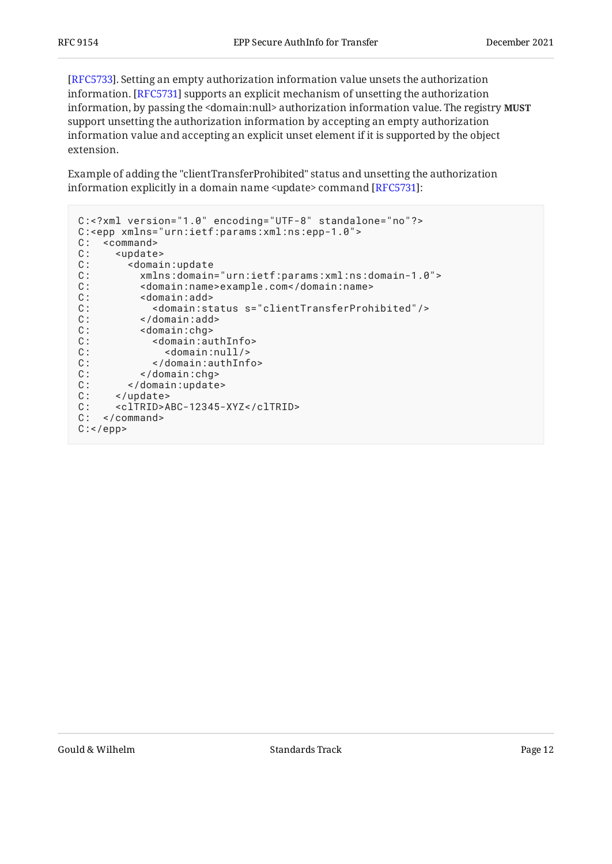[[RFC5733\]](#page-19-4). Setting an empty authorization information value unsets the authorization information. [RFC5731] supports an explicit mechanism of unsetting the authorization information, by passing the <domain:null> authorization information value. The registry **MUST** support unsetting the authorization information by accepting an empty authorization information value and accepting an explicit unset element if it is supported by the object extension.

Example of adding the "clientTransferProhibited" status and unsetting the authorization information explicitly in a domain name <update> command [RFC5731]:

```
C:<?xml version="1.0" encoding="UTF-8" standalone="no"?>
C:<epp xmlns="urn:ietf:params:xml:ns:epp-1.0">
C: < command>
C: <update>
C: <domain:update
C: xmlns:domain="urn:ietf:params:xml:ns:domain-1.0">
C: <domain:name>example.com</domain:name>
C: <domain:add><br>C: <domain:st
           C: <domain:status s="clientTransferProhibited"/>
C: </domain:add>
C: \leq <domain:chg>
C: <domain:authInfo><br>C: <domain:null/>
              <domain:null/>
C: </domain:authInfo>
C: </domain:chg>
C: </domain:update>
C: </update><br>C: <clTRID>A
      C: <clTRID>ABC-12345-XYZ</clTRID>
C: </command>
C: </epp>
```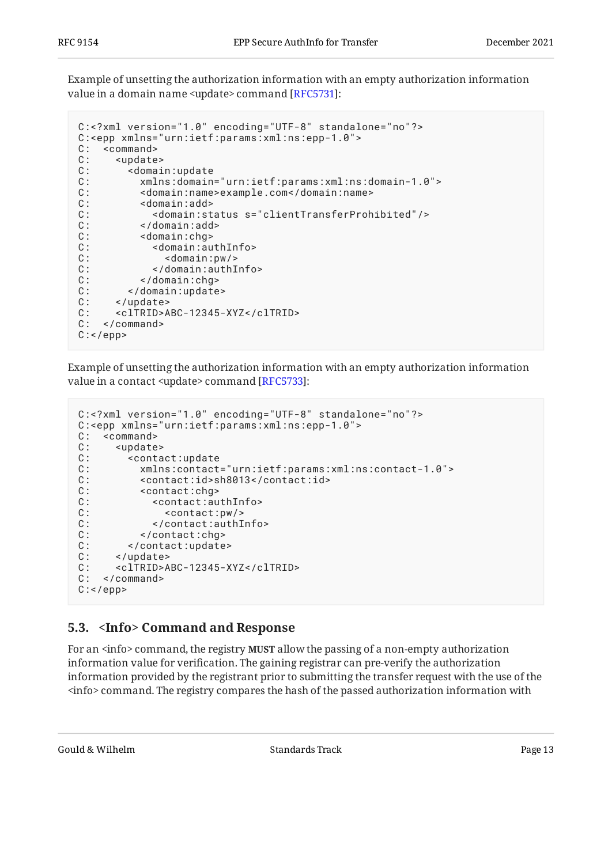Example of unsetting the authorization information with an empty authorization information value in a domain name <update> command [RFC5731]:

```
C:<?xml version="1.0" encoding="UTF-8" standalone="no"?>
C:<epp xmlns="urn:ietf:params:xml:ns:epp-1.0">
C: <command><br>C: <update
C: <update><br>C: <domai
      .<br><domain:update
C: xmlns:domain="urn:ietf:params:xml:ns:domain-1.0">
C: <domain:name>example.com</domain:name>
C: <domain:add>
C: <domain:status s="clientTransferProhibited"/> C: </domain:add>
C: </domain:add>
C: <domain:chg>
C: \sim <domain:authInfo>
C: < domain:pw/>
C: </domain:authInfo>
C: </domain:chg>
C: </domain:update>
C: </update>
C: <clTRID>ABC-12345-XYZ</clTRID>
C: </command>
C: </epp>
```
Example of unsetting the authorization information with an empty authorization information value in a contact <update> command [RFC5733]:

```
C:<?xml version="1.0" encoding="UTF-8" standalone="no"?>
C:<epp xmlns="urn:ietf:params:xml:ns:epp-1.0">
C: < command>
C: <update><br>C: <conta
     <contact:update
C: xmlns:contact="urn:ietf:params:xml:ns:contact-1.0">
C: <contact:id>sh8013</contact:id>
C: <contact:chg>
C: <contact:authInfo><br>C: <contact:pw/>
C: <contact:pw/><br>C: </contact:authI<br>C: </contact:chg>
            C: </contact:authInfo>
         </contact:chg>
C: </contact:update>
C: </update>
C: <clTRID>ABC-12345-XYZ</clTRID>
C: </command>
C: </epp>
```
#### <span id="page-12-0"></span>**[5.3. <Info> Command and Response](#page-12-0)**

For an <info> command, the registry **MUST** allow the passing of a non-empty authorization information value for verification. The gaining registrar can pre-verify the authorization information provided by the registrant prior to submitting the transfer request with the use of the <info> command. The registry compares the hash of the passed authorization information with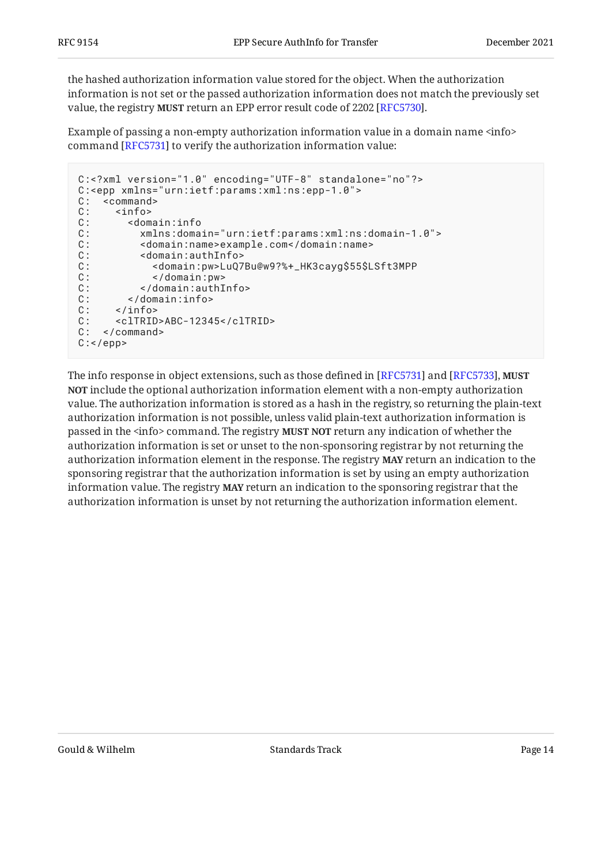the hashed authorization information value stored for the object. When the authorization information is not set or the passed authorization information does not match the previously set value, the registry **MUST** return an EPP error result code of 2202 [RFC5730].

Example of passing a non-empty authorization information value in a domain name <info> command [RFC5731] to verify the authorization information value:

```
C:<?xml version="1.0" encoding="UTF-8" standalone="no"?>
C:<epp xmlns="urn:ietf:params:xml:ns:epp-1.0">
C: < command>
C: \langle -info>
C: <domain:info
C: xmlns:domain="urn:ietf:params:xml:ns:domain-1.0">
C: <domain:name>example.com</domain:name>
C: \sim <domain:authInfo>
C: <domain:pw>LuQ7Bu@w9?%+_HK3cayg$55$LSft3MPP
           C: </domain:pw>
C: </domain:authInfo>
C: </domain:info>
C: </info>
C: <clTRID>ABC-12345</clTRID>
C: </command>
C: </epp>
```
The info response in object extensions, such as those defined in [RFC5731] and [RFC5733]**, MUST NOT** include the optional authorization information element with a non-empty authorization value. The authorization information is stored as a hash in the registry, so returning the plain-text authorization information is not possible, unless valid plain-text authorization information is passed in the <info> command. The registry **MUST NOT** return any indication of whether the authorization information is set or unset to the non-sponsoring registrar by not returning the authorization information element in the response. The registry **MAY** return an indication to the sponsoring registrar that the authorization information is set by using an empty authorization information value. The registry **MAY** return an indication to the sponsoring registrar that the authorization information is unset by not returning the authorization information element.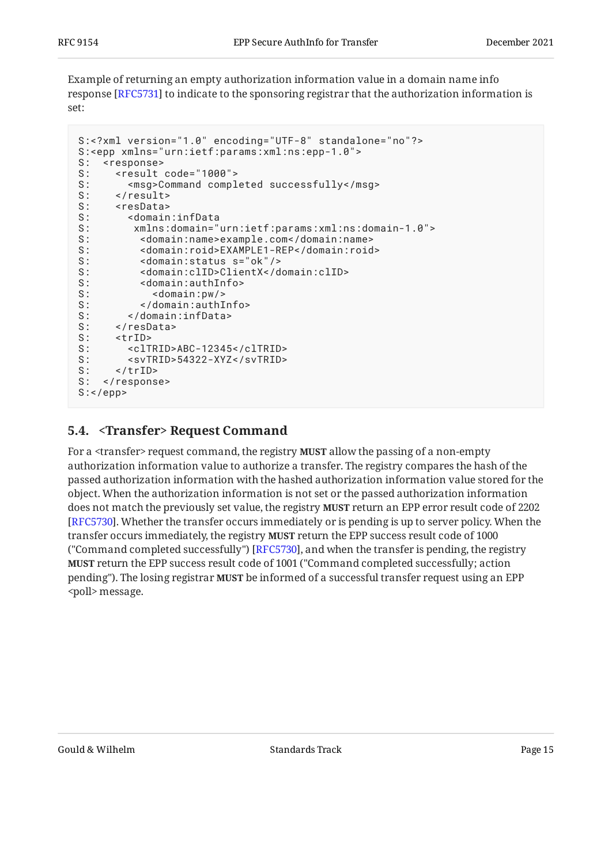Example of returning an empty authorization information value in a domain name info response [RFC5731] to indicate to the sponsoring registrar that the authorization information is set:

```
S:<?xml version="1.0" encoding="UTF-8" standalone="no"?>
S:<epp xmlns="urn:ietf:params:xml:ns:epp-1.0">
S: <response>
S: <result code="1000">
S: <msg>Command completed successfully</msg>
S: </result>
S: <resData>
S: <domain:infData
S: xmlns:domain="urn:ietf:params:xml:ns:domain-1.0">
S: <domain:name>example.com</domain:name>
S: <domain:roid>EXAMPLE1-REP</domain:roid>
S: <domain:status s="ok"/>
S: <domain:clID>ClientX</domain:clID>
        S: <domain:authInfo>
S: \left\langle \text{domain:pw/}\right\rangleS: \langle/domain:authInfo>
S: </domain:infData>
S: </resData><br>S: <trID>
     S: <trID>
S: <clTRID>ABC-12345</clTRID>
S: <svTRID>54322-XYZ</svTRID>
S: </trID>
S: </response>
S:</epp>
```
### <span id="page-14-0"></span>**[5.4. <Transfer> Request Command](#page-14-0)**

For a <transfer> request command, the registry **MUST** allow the passing of a non-empty authorization information value to authorize a transfer. The registry compares the hash of the passed authorization information with the hashed authorization information value stored for the object. When the authorization information is not set or the passed authorization information does not match the previously set value, the registry MUST return an EPP error result code of 2202 [[RFC5730\]](#page-19-2). Whether the transfer occurs immediately or is pending is up to server policy. When the transfer occurs immediately, the registry **MUST** return the EPP success result code of 1000 ("Command completed successfully") [RFC5730], and when the transfer is pending, the registry **MUST** return the EPP success result code of 1001 ("Command completed successfully; action pending"). The losing registrar **MUST** be informed of a successful transfer request using an EPP <poll>message.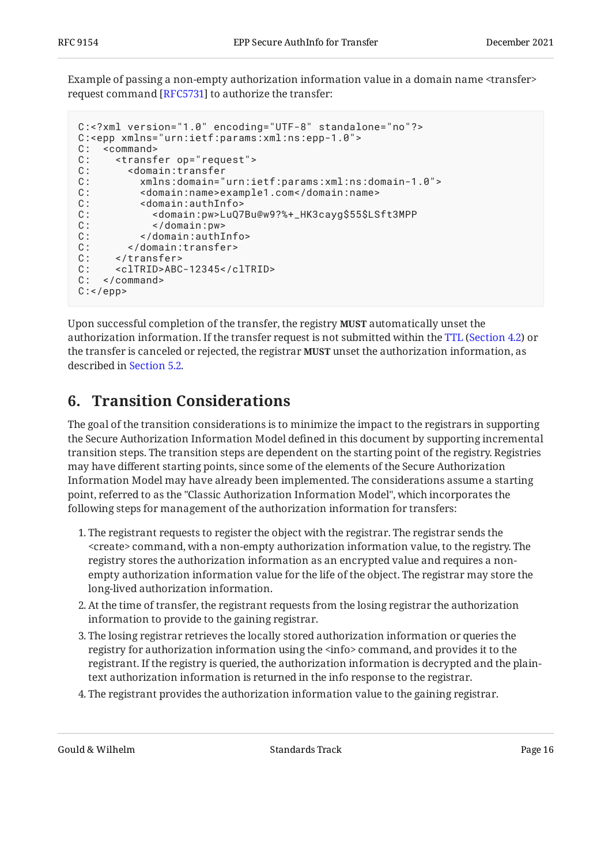Example of passing a non-empty authorization information value in a domain name <transfer> request command [RFC5731] to authorize the transfer:

```
C:<?xml version="1.0" encoding="UTF-8" standalone="no"?>
C:<epp xmlns="urn:ietf:params:xml:ns:epp-1.0">
C: <command><br>C: <transf
C: <transfer op="request"><br>C: <domain:transfer
       C: <domain:transfer
C: xmlns:domain="urn:ietf:params:xml:ns:domain-1.0">
C: <domain:name>example1.com</domain:name>
C: <domain:authInfo><br>C: <domain:pw>LuQ7
C: <domain:pw>LuQ7Bu@w9?%+_HK3cayg$55$LSft3MPP<br>C: </domain:pw>
             </domain:pw>
C: </domain:authInfo>
C: \langle/domain:transfer>
C: </transfer>
C: <clTRID>ABC-12345</clTRID>
C: </command>
C: </epp>
```
Upon successful completion of the transfer, the registry **MUST** automatically unset the authorizationinformation. If the transfer request is not submitted within the TTL (Section 4.2) or the transfer is canceled or rejected, the registrar **MUST** unset the authorization information, as described in [Section 5.2](#page-9-0).

### <span id="page-15-0"></span>**[6. Transition Considerations](#page-15-0)**

The goal of the transition considerations is to minimize the impact to the registrars in supporting the Secure Authorization Information Model defined in this document by supporting incremental transition steps. The transition steps are dependent on the starting point of the registry. Registries may have different starting points, since some of the elements of the Secure Authorization Information Model may have already been implemented. The considerations assume a starting point, referred to as the "Classic Authorization Information Model", which incorporates the following steps for management of the authorization information for transfers:

- 1. The registrant requests to register the object with the registrar. The registrar sends the <create> command, with a non-empty authorization information value, to the registry. The registry stores the authorization information as an encrypted value and requires a nonempty authorization information value for the life of the object. The registrar may store the long-lived authorization information.
- At the time of transfer, the registrant requests from the losing registrar the authorization 2. information to provide to the gaining registrar.
- The losing registrar retrieves the locally stored authorization information or queries the 3. registry for authorization information using the  $\langle$ info>command, and provides it to the registrant. If the registry is queried, the authorization information is decrypted and the plaintext authorization information is returned in the info response to the registrar.
- The registrant provides the authorization information value to the gaining registrar. 4.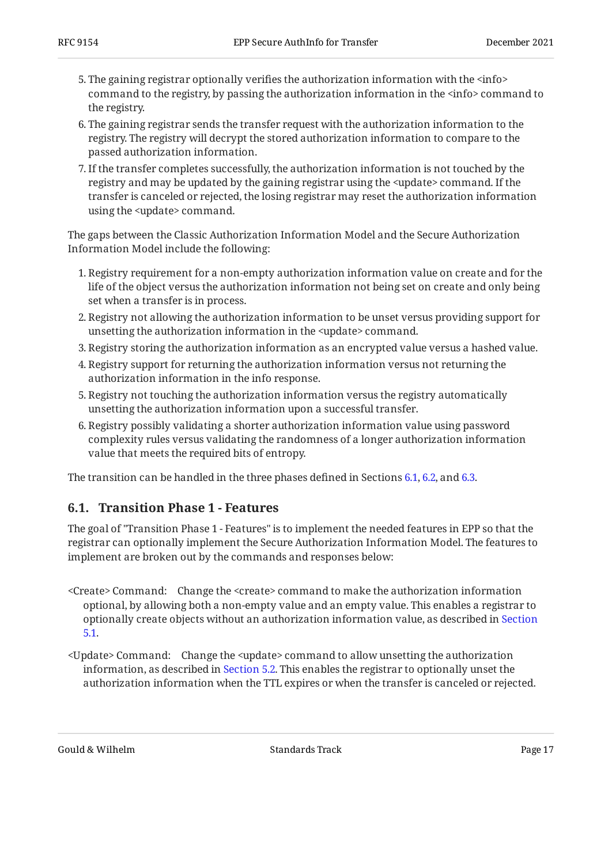- 5. The gaining registrar optionally verifies the authorization information with the  $\rm {<}$ info $\rm {>}$ command to the registry, by passing the authorization information in the <info> command to the registry.
- 6. The gaining registrar sends the transfer request with the authorization information to the registry. The registry will decrypt the stored authorization information to compare to the passed authorization information.
- If the transfer completes successfully, the authorization information is not touched by the 7. registry and may be updated by the gaining registrar using the <update> command. If the transfer is canceled or rejected, the losing registrar may reset the authorization information using the <update> command.

The gaps between the Classic Authorization Information Model and the Secure Authorization Information Model include the following:

- 1. Registry requirement for a non-empty authorization information value on create and for the life of the object versus the authorization information not being set on create and only being set when a transfer is in process.
- 2. Registry not allowing the authorization information to be unset versus providing support for unsetting the authorization information in the <update> command.
- 3. Registry storing the authorization information as an encrypted value versus a hashed value.
- Registry support for returning the authorization information versus not returning the 4. authorization information in the info response.
- 5. Registry not touching the authorization information versus the registry automatically unsetting the authorization information upon a successful transfer.
- 6. Registry possibly validating a shorter authorization information value using password complexity rules versus validating the randomness of a longer authorization information value that meets the required bits of entropy.

<span id="page-16-0"></span>The transition can be handled in the three phases defined in Sections [6.1,](#page-16-0) [6.2,](#page-17-0) and [6.3.](#page-17-1)

#### **[6.1. Transition Phase 1 - Features](#page-16-0)**

The goal of "Transition Phase 1 - Features" is to implement the needed features in EPP so that the registrar can optionally implement the Secure Authorization Information Model. The features to implement are broken out by the commands and responses below:

- <Create> Command: Change the <create> command to make the authorization information optional, by allowing both a non-empty value and an empty value. This enables a registrar to optionally create objects without an authorization information value, as described in [Section](#page-8-1) [5.1.](#page-8-1)
- <Update> Command: Change the <update> command to allow unsetting the authorization information, as described in [Section 5.2](#page-9-0). This enables the registrar to optionally unset the authorization information when the TTL expires or when the transfer is canceled or rejected.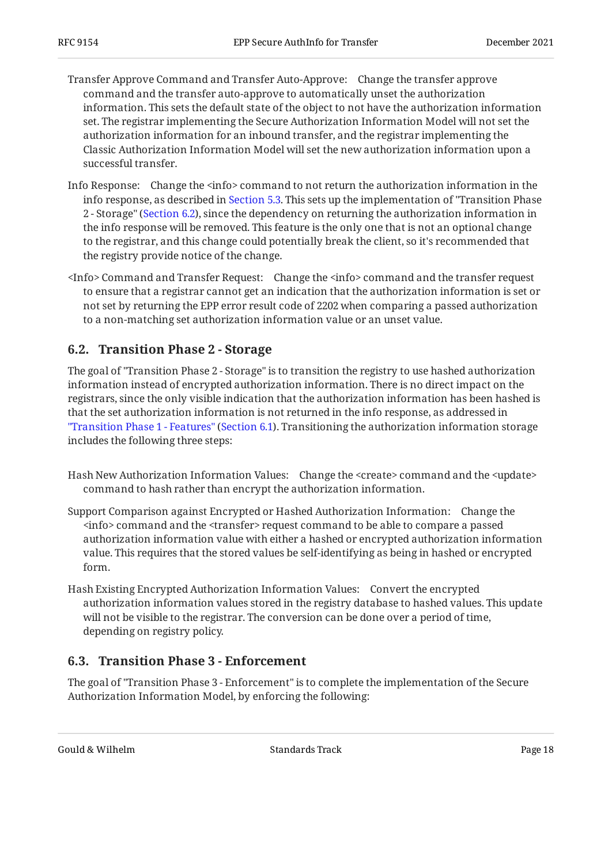- Transfer Approve Command and Transfer Auto-Approve: Change the transfer approve command and the transfer auto-approve to automatically unset the authorization information. This sets the default state of the object to not have the authorization information set. The registrar implementing the Secure Authorization Information Model will not set the authorization information for an inbound transfer, and the registrar implementing the Classic Authorization Information Model will set the new authorization information upon a successful transfer.
- Info Response: Change the <info> command to not return the authorization information in the info response, as described in [Section 5.3.](#page-12-0) This sets up the implementation of "Transition Phase 2 - Storage" [\(Section 6.2](#page-17-0)), since the dependency on returning the authorization information in the info response will be removed. This feature is the only one that is not an optional change to the registrar, and this change could potentially break the client, so it's recommended that the registry provide notice of the change.
- <Info> Command and Transfer Request: Change the <info> command and the transfer request to ensure that a registrar cannot get an indication that the authorization information is set or not set by returning the EPP error result code of 2202 when comparing a passed authorization to a non-matching set authorization information value or an unset value.

#### <span id="page-17-0"></span>**[6.2. Transition Phase 2 - Storage](#page-17-0)**

The goal of "Transition Phase 2 - Storage" is to transition the registry to use hashed authorization information instead of encrypted authorization information. There is no direct impact on the registrars, since the only visible indication that the authorization information has been hashed is that the set authorization information is not returned in the info response, as addressed in ["Transition Phase 1 - Features"](#page-16-0) ([Section 6.1](#page-16-0)). Transitioning the authorization information storage includes the following three steps:

- Hash New Authorization Information Values: Change the <create> command and the <update> command to hash rather than encrypt the authorization information.
- Support Comparison against Encrypted or Hashed Authorization Information: Change the <info> command and the <transfer> request command to be able to compare a passed authorization information value with either a hashed or encrypted authorization information value. This requires that the stored values be self-identifying as being in hashed or encrypted form.
- Hash Existing Encrypted Authorization Information Values: Convert the encrypted authorization information values stored in the registry database to hashed values. This update will not be visible to the registrar. The conversion can be done over a period of time, depending on registry policy.

#### <span id="page-17-1"></span>**[6.3. Transition Phase 3 - Enforcement](#page-17-1)**

The goal of "Transition Phase 3 - Enforcement" is to complete the implementation of the Secure Authorization Information Model, by enforcing the following: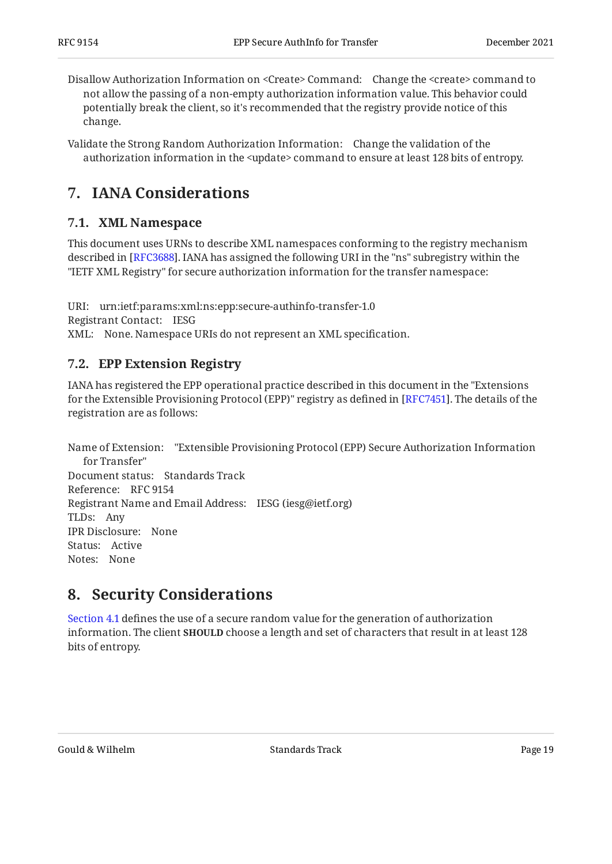Disallow Authorization Information on <Create> Command: Change the <create> command to not allow the passing of a non-empty authorization information value. This behavior could potentially break the client, so it's recommended that the registry provide notice of this change.

Validate the Strong Random Authorization Information: Change the validation of the authorization information in the <update> command to ensure at least 128 bits of entropy.

# <span id="page-18-1"></span><span id="page-18-0"></span>**[7. IANA Considerations](#page-18-0)**

### **[7.1. XML Namespace](#page-18-1)**

This document uses URNs to describe XML namespaces conforming to the registry mechanism described in [RFC3688]. IANA has assigned the following URI in the "ns" subregistry within the "IETF XML Registry" for secure authorization information for the transfer namespace:

URI: urn:ietf:params:xml:ns:epp:secure-authinfo-transfer-1.0 Registrant Contact: IESG XML: None. Namespace URIs do not represent an XML specification.

### <span id="page-18-2"></span>**[7.2. EPP Extension Registry](#page-18-2)**

IANA has registered the EPP operational practice described in this document in the "Extensions for the Extensible Provisioning Protocol (EPP)" registry as defined in [\[RFC7451](#page-20-9)]. The details of the registration are as follows:

Name of Extension: "Extensible Provisioning Protocol (EPP) Secure Authorization Information Document status: Standards Track Reference: RFC 9154 Registrant Name and Email Address: IESG (iesg@ietf.org) TLDs: Any IPR Disclosure: None Status: Active Notes: None for Transfer"

### <span id="page-18-3"></span>**[8. Security Considerations](#page-18-3)**

[Section 4.1](#page-6-0) defines the use of a secure random value for the generation of authorization information. The client **SHOULD** choose a length and set of characters that result in at least 128 bits of entropy.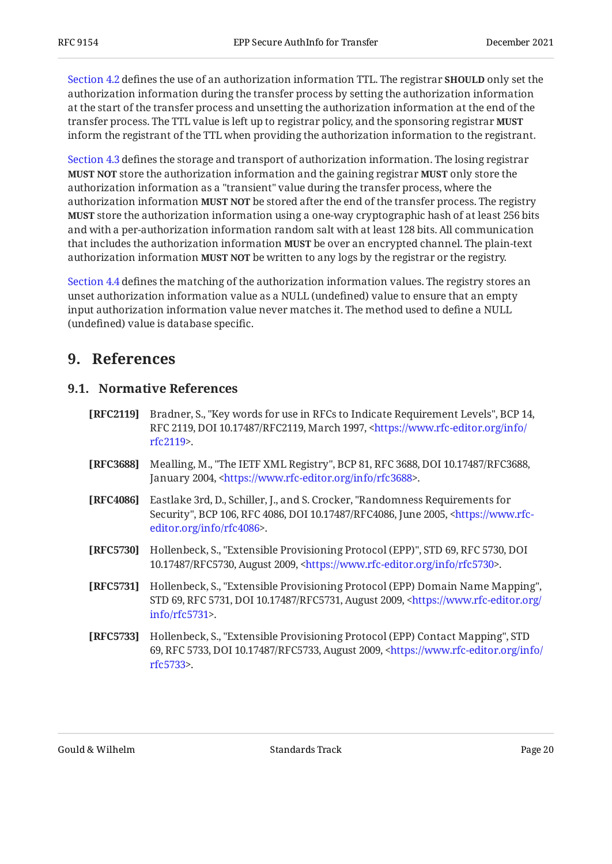[Section 4.2](#page-6-1) defines the use of an authorization information TTL. The registrar **SHOULD** only set the authorization information during the transfer process by setting the authorization information at the start of the transfer process and unsetting the authorization information at the end of the transfer process. The TTL value is left up to registrar policy, and the sponsoring registrar **MUST** inform the registrant of the TTL when providing the authorization information to the registrant.

[Section 4.3](#page-7-0) defines the storage and transport of authorization information. The losing registrar **MUST NOT** store the authorization information and the gaining registrar **MUST** only store the authorization information as a "transient" value during the transfer process, where the authorization information **MUST NOT** be stored after the end of the transfer process. The registry **MUST** store the authorization information using a one-way cryptographic hash of at least 256 bits and with a per-authorization information random salt with at least 128 bits. All communication that includes the authorization information **MUST** be over an encrypted channel. The plain-text authorization information **MUST NOT** be written to any logs by the registrar or the registry.

[Section 4.4](#page-7-1) defines the matching of the authorization information values. The registry stores an unset authorization information value as a NULL (undefined) value to ensure that an empty input authorization information value never matches it. The method used to define a NULL (undefined) value is database specific.

### <span id="page-19-1"></span><span id="page-19-0"></span>**[9. References](#page-19-0)**

#### **[9.1. Normative References](#page-19-1)**

- <span id="page-19-5"></span>**[RFC2119]** Bradner, S., "Key words for use in RFCs to Indicate Requirement Levels", BCP 14, RFC 2119, DOI 10.17487/RFC2119, March 1997, [<https://www.rfc-editor.org/info/](https://www.rfc-editor.org/info/rfc2119) . [rfc2119](https://www.rfc-editor.org/info/rfc2119)>
- <span id="page-19-7"></span>**[RFC3688]** Mealling, M., "The IETF XML Registry", BCP 81, RFC 3688, DOI 10.17487/RFC3688, January 2004, <https://www.rfc-editor.org/info/rfc3688>.
- <span id="page-19-6"></span>**[RFC4086]** Eastlake 3rd, D., Schiller, J., and S. Crocker, "Randomness Requirements for Security", BCP 106, RFC 4086, DOI 10.17487/RFC4086, June 2005, [<https://www.rfc-](https://www.rfc-editor.org/info/rfc4086). [editor.org/info/rfc4086](https://www.rfc-editor.org/info/rfc4086)>
- <span id="page-19-2"></span>**[RFC5730]** Hollenbeck, S., "Extensible Provisioning Protocol (EPP)", STD 69, RFC 5730, DOI 10.17487/RFC5730, August 2009, <https://www.rfc-editor.org/info/rfc5730>.
- <span id="page-19-3"></span>**[RFC5731]** Hollenbeck, S., "Extensible Provisioning Protocol (EPP) Domain Name Mapping", STD 69, RFC 5731, DOI 10.17487/RFC5731, August 2009, [<https://www.rfc-editor.org/](https://www.rfc-editor.org/info/rfc5731) . [info/rfc5731>](https://www.rfc-editor.org/info/rfc5731)
- <span id="page-19-4"></span>**[RFC5733]** Hollenbeck, S., "Extensible Provisioning Protocol (EPP) Contact Mapping", STD 69, RFC 5733, DOI 10.17487/RFC5733, August 2009, [<https://www.rfc-editor.org/info/](https://www.rfc-editor.org/info/rfc5733) . [rfc5733](https://www.rfc-editor.org/info/rfc5733)>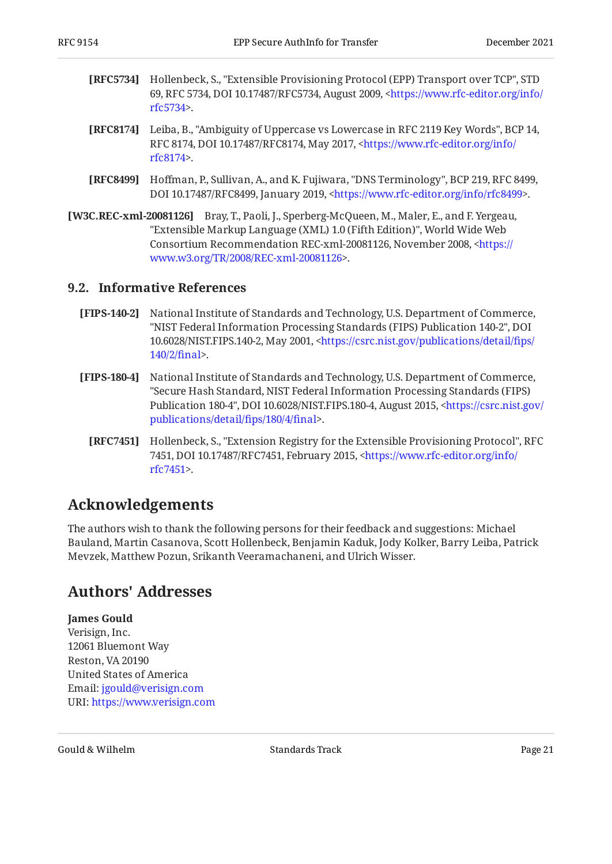- <span id="page-20-8"></span>**[RFC5734]** Hollenbeck, S., "Extensible Provisioning Protocol (EPP) Transport over TCP", STD 69, RFC 5734, DOI 10.17487/RFC5734, August 2009, [<https://www.rfc-editor.org/info/](https://www.rfc-editor.org/info/rfc5734) . [rfc5734](https://www.rfc-editor.org/info/rfc5734)>
- <span id="page-20-4"></span>**[RFC8174]** Leiba, B., "Ambiguity of Uppercase vs Lowercase in RFC 2119 Key Words", BCP 14, RFC 8174, DOI 10.17487/RFC8174, May 2017, <[https://www.rfc-editor.org/info/](https://www.rfc-editor.org/info/rfc8174) . [rfc8174](https://www.rfc-editor.org/info/rfc8174)>
- <span id="page-20-6"></span>**[RFC8499]** Hoffman, P., Sullivan, A., and K. Fujiwara, "DNS Terminology", BCP 219, RFC 8499, DOI 10.17487/RFC8499, January 2019, <https://www.rfc-editor.org/info/rfc8499>.
- <span id="page-20-5"></span>**[W3C.REC-xml-20081126]** Bray, T., Paoli, J., Sperberg-McQueen, M., Maler, E., and F. Yergeau, "Extensible Markup Language (XML) 1.0 (Fifth Edition)", World Wide Web Consortium Recommendation REC-xml-20081126, November 2008, [<https://](https://www.w3.org/TR/2008/REC-xml-20081126) . [www.w3.org/TR/2008/REC-xml-20081126>](https://www.w3.org/TR/2008/REC-xml-20081126)

#### <span id="page-20-0"></span>**[9.2. Informative References](#page-20-0)**

- <span id="page-20-7"></span>**[FIPS-140-2]** , National Institute of Standards and Technology, U.S. Department of Commerce "NIST Federal Information Processing Standards (FIPS) Publication 140-2", DOI 10.6028/NIST.FIPS.140-2, May 2001, [<https://csrc.nist.gov/publications/detail/](https://csrc.nist.gov/publications/detail/fips/140/2/final)fips/ . [140/2/](https://csrc.nist.gov/publications/detail/fips/140/2/final)final>
- <span id="page-20-3"></span>**[FIPS-180-4]** , National Institute of Standards and Technology, U.S. Department of Commerce Publication 180-4", DOI 10.6028/NIST.FIPS.180-4, August 2015, [<https://csrc.nist.gov/](https://csrc.nist.gov/publications/detail/fips/180/4/final) . [publications/detail/](https://csrc.nist.gov/publications/detail/fips/180/4/final)fips/180/4/final> "Secure Hash Standard, NIST Federal Information Processing Standards (FIPS)
	- **[RFC7451]** Hollenbeck, S., "Extension Registry for the Extensible Provisioning Protocol", RFC 7451, DOI 10.17487/RFC7451, February 2015, [<https://www.rfc-editor.org/info/](https://www.rfc-editor.org/info/rfc7451) . [rfc7451](https://www.rfc-editor.org/info/rfc7451)>

### <span id="page-20-9"></span><span id="page-20-1"></span>**[Acknowledgements](#page-20-1)**

The authors wish to thank the following persons for their feedback and suggestions: Michael Bauland, Martin Casanova, Scott Hollenbeck, Benjamin Kaduk, Jody Kolker, Barry Leiba, Patrick Mevzek, Matthew Pozun, Srikanth Veeramachaneni, and Ulrich Wisser.

### <span id="page-20-2"></span>**[Authors' Addresses](#page-20-2)**

#### **James Gould**

Verisign, Inc. 12061 Bluemont Way Reston, VA 20190 United States of America Email: [jgould@verisign.com](mailto:jgould@verisign.com) URI: <https://www.verisign.com>